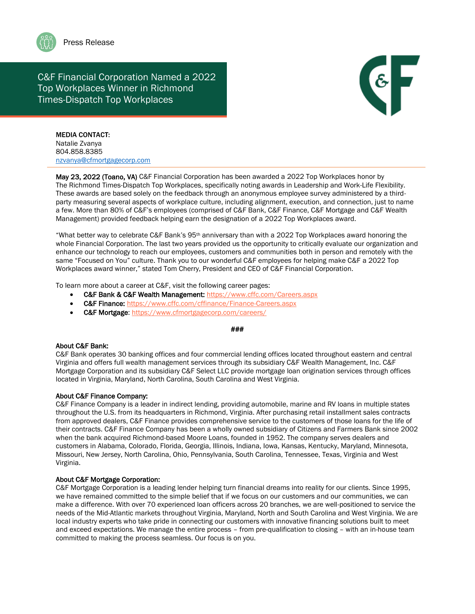

# C&F Financial Corporation Named a 2022 Top Workplaces Winner in Richmond Times-Dispatch Top Workplaces



MEDIA CONTACT: Natalie Zvanya 804.858.8385 [nzvanya@cfmortgagecorp.com](mailto:nzvanya@cfmortgagecorp.com)

May 23, 2022 (Toano, VA) C&F Financial Corporation has been awarded a 2022 Top Workplaces honor by The Richmond Times-Dispatch Top Workplaces, specifically noting awards in Leadership and Work-Life Flexibility. These awards are based solely on the feedback through an anonymous employee survey administered by a thirdparty measuring several aspects of workplace culture, including alignment, execution, and connection, just to name a few. More than 80% of C&F's employees (comprised of C&F Bank, C&F Finance, C&F Mortgage and C&F Wealth Management) provided feedback helping earn the designation of a 2022 Top Workplaces award.

"What better way to celebrate C&F Bank's  $95<sup>th</sup>$  anniversary than with a 2022 Top Workplaces award honoring the whole Financial Corporation. The last two years provided us the opportunity to critically evaluate our organization and enhance our technology to reach our employees, customers and communities both in person and remotely with the same "Focused on You" culture. Thank you to our wonderful C&F employees for helping make C&F a 2022 Top Workplaces award winner," stated Tom Cherry, President and CEO of C&F Financial Corporation.

To learn more about a career at C&F, visit the following career pages:

- C&F Bank & C&F Wealth Management: <https://www.cffc.com/Careers.aspx>
- C&F Finance: <https://www.cffc.com/cffinance/Finance-Careers.aspx>
- C&F Mortgage:<https://www.cfmortgagecorp.com/careers/>

#### ###

### About C&F Bank:

C&F Bank operates 30 banking offices and four commercial lending offices located throughout eastern and central Virginia and offers full wealth management services through its subsidiary C&F Wealth Management, Inc. C&F Mortgage Corporation and its subsidiary C&F Select LLC provide mortgage loan origination services through offices located in Virginia, Maryland, North Carolina, South Carolina and West Virginia.

### About C&F Finance Company:

C&F Finance Company is a leader in indirect lending, providing automobile, marine and RV loans in multiple states throughout the U.S. from its headquarters in Richmond, Virginia. After purchasing retail installment sales contracts from approved dealers, C&F Finance provides comprehensive service to the customers of those loans for the life of their contracts. C&F Finance Company has been a wholly owned subsidiary of Citizens and Farmers Bank since 2002 when the bank acquired Richmond-based Moore Loans, founded in 1952. The company serves dealers and customers in Alabama, Colorado, Florida, Georgia, Illinois, Indiana, Iowa, Kansas, Kentucky, Maryland, Minnesota, Missouri, New Jersey, North Carolina, Ohio, Pennsylvania, South Carolina, Tennessee, Texas, Virginia and West Virginia.

### About C&F Mortgage Corporation:

C&F Mortgage Corporation is a leading lender helping turn financial dreams into reality for our clients. Since 1995, we have remained committed to the simple belief that if we focus on our customers and our communities, we can make a difference. With over 70 experienced loan officers across 20 branches, we are well-positioned to service the needs of the Mid-Atlantic markets throughout Virginia, Maryland, North and South Carolina and West Virginia. We are local industry experts who take pride in connecting our customers with innovative financing solutions built to meet and exceed expectations. We manage the entire process – from pre-qualification to closing – with an in-house team committed to making the process seamless. Our focus is on you.